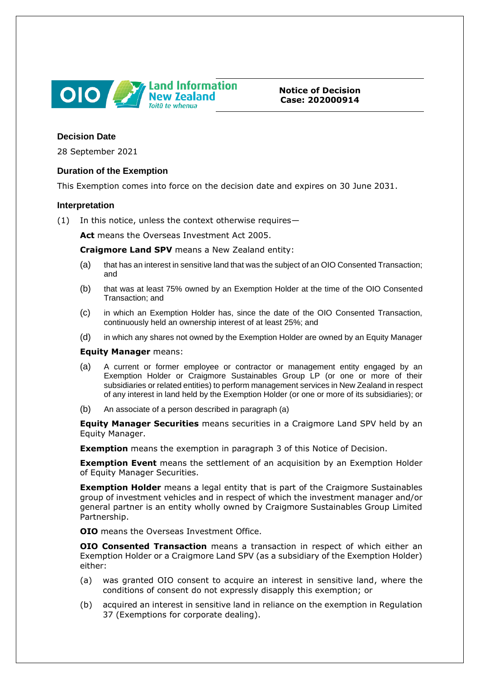

**Notice of Decision Case: 202000914**

# **Decision Date**

28 September 2021

# **Duration of the Exemption**

This Exemption comes into force on the decision date and expires on 30 June 2031.

#### **Interpretation**

(1) In this notice, unless the context otherwise requires—

**Act** means the Overseas Investment Act 2005.

**Craigmore Land SPV** means a New Zealand entity:

- (a) that has an interest in sensitive land that was the subject of an OIO Consented Transaction; and
- (b) that was at least 75% owned by an Exemption Holder at the time of the OIO Consented Transaction; and
- (c) in which an Exemption Holder has, since the date of the OIO Consented Transaction, continuously held an ownership interest of at least 25%; and
- (d) in which any shares not owned by the Exemption Holder are owned by an Equity Manager

#### **Equity Manager** means:

- (a) A current or former employee or contractor or management entity engaged by an Exemption Holder or Craigmore Sustainables Group LP (or one or more of their subsidiaries or related entities) to perform management services in New Zealand in respect of any interest in land held by the Exemption Holder (or one or more of its subsidiaries); or
- (b) An associate of a person described in paragraph (a)

**Equity Manager Securities** means securities in a Craigmore Land SPV held by an Equity Manager.

**Exemption** means the exemption in paragraph 3 of this Notice of Decision.

**Exemption Event** means the settlement of an acquisition by an Exemption Holder of Equity Manager Securities.

**Exemption Holder** means a legal entity that is part of the Craigmore Sustainables group of investment vehicles and in respect of which the investment manager and/or general partner is an entity wholly owned by Craigmore Sustainables Group Limited Partnership.

**OIO** means the Overseas Investment Office.

**OIO Consented Transaction** means a transaction in respect of which either an Exemption Holder or a Craigmore Land SPV (as a subsidiary of the Exemption Holder) either:

- (a) was granted OIO consent to acquire an interest in sensitive land, where the conditions of consent do not expressly disapply this exemption; or
- (b) acquired an interest in sensitive land in reliance on the exemption in Regulation 37 (Exemptions for corporate dealing).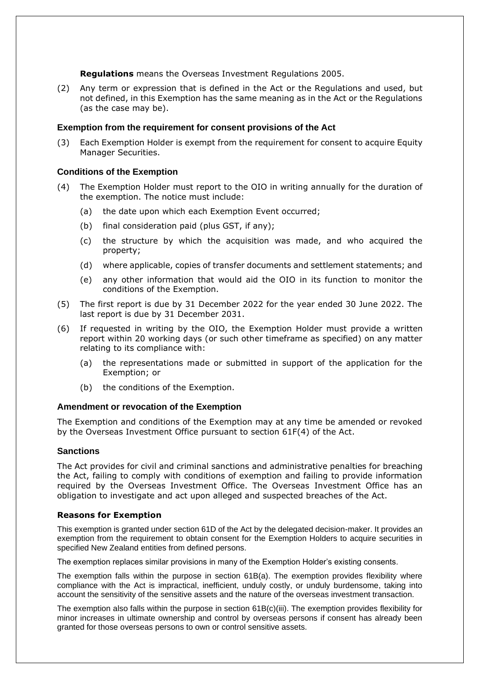**Regulations** means the Overseas Investment Regulations 2005.

(2) Any term or expression that is defined in the Act or the Regulations and used, but not defined, in this Exemption has the same meaning as in the Act or the Regulations (as the case may be).

### **Exemption from the requirement for consent provisions of the Act**

(3) Each Exemption Holder is exempt from the requirement for consent to acquire Equity Manager Securities.

#### **Conditions of the Exemption**

- (4) The Exemption Holder must report to the OIO in writing annually for the duration of the exemption. The notice must include:
	- (a) the date upon which each Exemption Event occurred;
	- (b) final consideration paid (plus GST, if any);
	- (c) the structure by which the acquisition was made, and who acquired the property;
	- (d) where applicable, copies of transfer documents and settlement statements; and
	- (e) any other information that would aid the OIO in its function to monitor the conditions of the Exemption.
- (5) The first report is due by 31 December 2022 for the year ended 30 June 2022. The last report is due by 31 December 2031.
- (6) If requested in writing by the OIO, the Exemption Holder must provide a written report within 20 working days (or such other timeframe as specified) on any matter relating to its compliance with:
	- (a) the representations made or submitted in support of the application for the Exemption; or
	- (b) the conditions of the Exemption.

# **Amendment or revocation of the Exemption**

The Exemption and conditions of the Exemption may at any time be amended or revoked by the Overseas Investment Office pursuant to section 61F(4) of the Act.

# **Sanctions**

The Act provides for civil and criminal sanctions and administrative penalties for breaching the Act, failing to comply with conditions of exemption and failing to provide information required by the Overseas Investment Office. The Overseas Investment Office has an obligation to investigate and act upon alleged and suspected breaches of the Act.

# **Reasons for Exemption**

This exemption is granted under section 61D of the Act by the delegated decision-maker. It provides an exemption from the requirement to obtain consent for the Exemption Holders to acquire securities in specified New Zealand entities from defined persons.

The exemption replaces similar provisions in many of the Exemption Holder's existing consents.

The exemption falls within the purpose in section 61B(a). The exemption provides flexibility where compliance with the Act is impractical, inefficient, unduly costly, or unduly burdensome, taking into account the sensitivity of the sensitive assets and the nature of the overseas investment transaction.

The exemption also falls within the purpose in section 61B(c)(iii). The exemption provides flexibility for minor increases in ultimate ownership and control by overseas persons if consent has already been granted for those overseas persons to own or control sensitive assets.